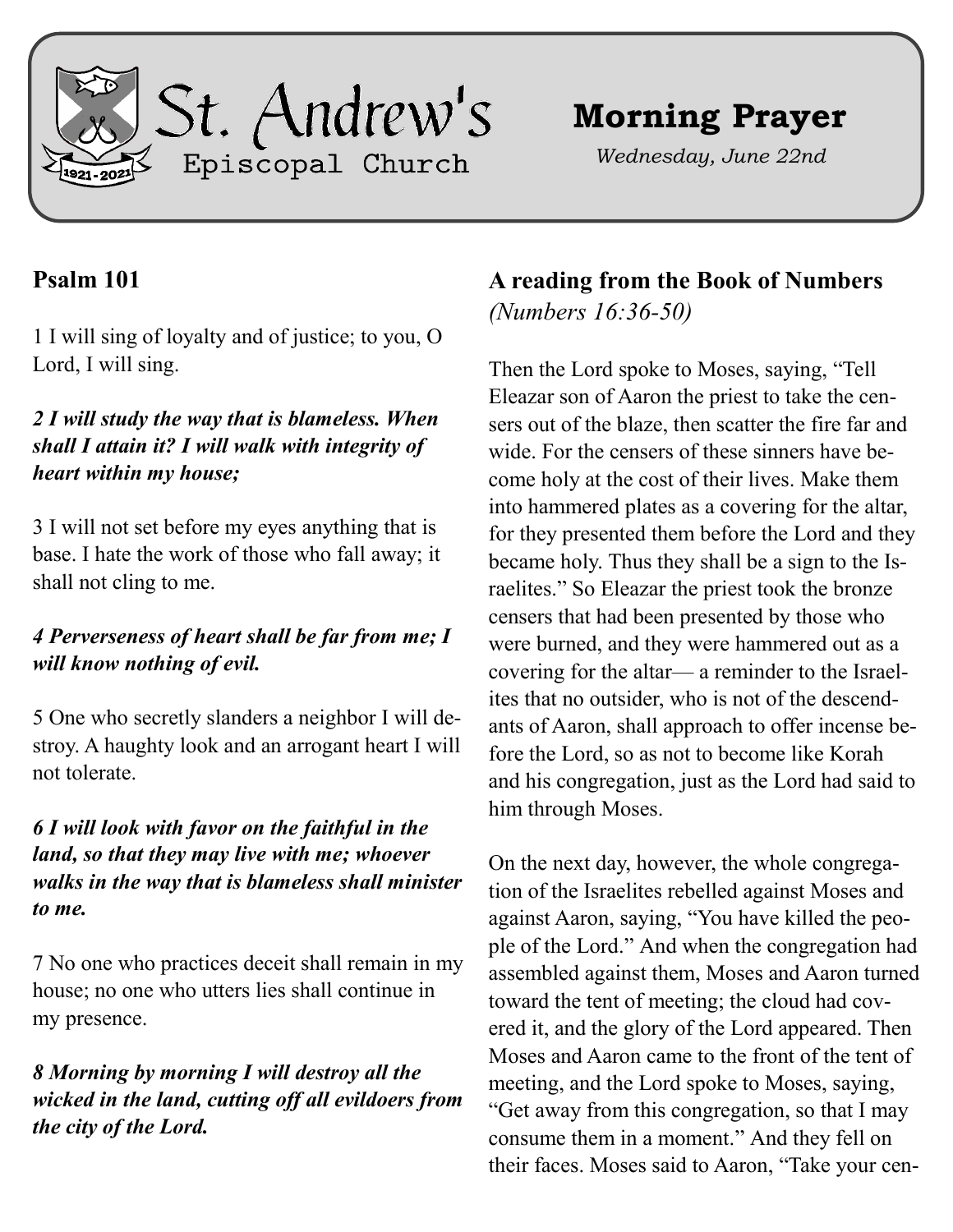

# **Morning Prayer**

*Wednesday, June 22nd*

## **Psalm 101**

1 I will sing of loyalty and of justice; to you, O Lord, I will sing.

#### *2 I will study the way that is blameless. When shall I attain it? I will walk with integrity of heart within my house;*

3 I will not set before my eyes anything that is base. I hate the work of those who fall away; it shall not cling to me.

#### *4 Perverseness of heart shall be far from me; I will know nothing of evil.*

5 One who secretly slanders a neighbor I will destroy. A haughty look and an arrogant heart I will not tolerate.

#### *6 I will look with favor on the faithful in the land, so that they may live with me; whoever walks in the way that is blameless shall minister to me.*

7 No one who practices deceit shall remain in my house; no one who utters lies shall continue in my presence.

### *8 Morning by morning I will destroy all the wicked in the land, cutting off all evildoers from the city of the Lord.*

**A reading from the Book of Numbers**  *(Numbers 16:36-50)*

Then the Lord spoke to Moses, saying, "Tell Eleazar son of Aaron the priest to take the censers out of the blaze, then scatter the fire far and wide. For the censers of these sinners have become holy at the cost of their lives. Make them into hammered plates as a covering for the altar, for they presented them before the Lord and they became holy. Thus they shall be a sign to the Israelites." So Eleazar the priest took the bronze censers that had been presented by those who were burned, and they were hammered out as a covering for the altar— a reminder to the Israelites that no outsider, who is not of the descendants of Aaron, shall approach to offer incense before the Lord, so as not to become like Korah and his congregation, just as the Lord had said to him through Moses.

On the next day, however, the whole congregation of the Israelites rebelled against Moses and against Aaron, saying, "You have killed the people of the Lord." And when the congregation had assembled against them, Moses and Aaron turned toward the tent of meeting; the cloud had covered it, and the glory of the Lord appeared. Then Moses and Aaron came to the front of the tent of meeting, and the Lord spoke to Moses, saying, "Get away from this congregation, so that I may consume them in a moment." And they fell on their faces. Moses said to Aaron, "Take your cen-